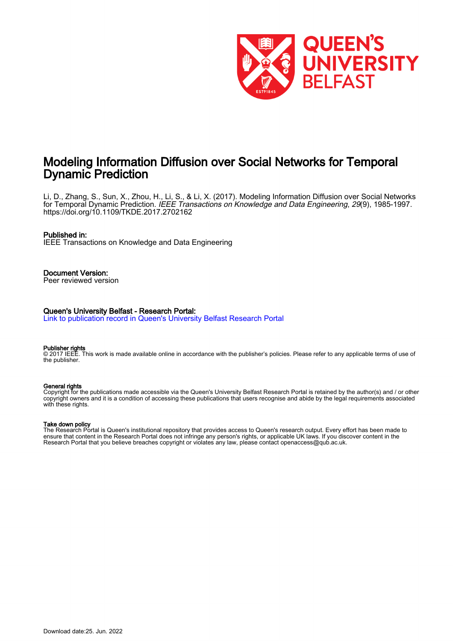

# Modeling Information Diffusion over Social Networks for Temporal Dynamic Prediction

Li, D., Zhang, S., Sun, X., Zhou, H., Li, S., & Li, X. (2017). Modeling Information Diffusion over Social Networks for Temporal Dynamic Prediction. *IEEE Transactions on Knowledge and Data Engineering, 29*(9), 1985-1997. <https://doi.org/10.1109/TKDE.2017.2702162>

# Published in:

IEEE Transactions on Knowledge and Data Engineering

# Document Version:

Peer reviewed version

# Queen's University Belfast - Research Portal:

[Link to publication record in Queen's University Belfast Research Portal](https://pure.qub.ac.uk/en/publications/23b88fe7-05eb-4f9c-acd0-e925a7fd297a)

#### Publisher rights

© 2017 IEEE. This work is made available online in accordance with the publisher's policies. Please refer to any applicable terms of use of the publisher.

## General rights

Copyright for the publications made accessible via the Queen's University Belfast Research Portal is retained by the author(s) and / or other copyright owners and it is a condition of accessing these publications that users recognise and abide by the legal requirements associated with these rights.

# Take down policy

The Research Portal is Queen's institutional repository that provides access to Queen's research output. Every effort has been made to ensure that content in the Research Portal does not infringe any person's rights, or applicable UK laws. If you discover content in the Research Portal that you believe breaches copyright or violates any law, please contact openaccess@qub.ac.uk.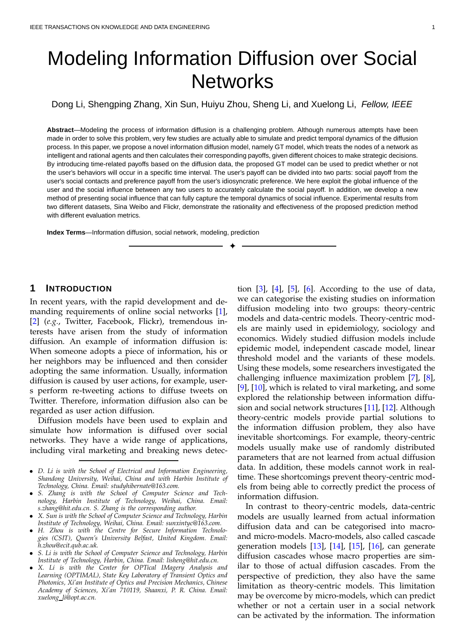# <span id="page-1-0"></span>Modeling Information Diffusion over Social **Networks**

Dong Li, Shengping Zhang, Xin Sun, Huiyu Zhou, Sheng Li, and Xuelong Li, Fellow, IEEE

**Abstract**—Modeling the process of information diffusion is a challenging problem. Although numerous attempts have been made in order to solve this problem, very few studies are actually able to simulate and predict temporal dynamics of the diffusion process. In this paper, we propose a novel information diffusion model, namely GT model, which treats the nodes of a network as intelligent and rational agents and then calculates their corresponding payoffs, given different choices to make strategic decisions. By introducing time-related payoffs based on the diffusion data, the proposed GT model can be used to predict whether or not the user's behaviors will occur in a specific time interval. The user's payoff can be divided into two parts: social payoff from the user's social contacts and preference payoff from the user's idiosyncratic preference. We here exploit the global influence of the user and the social influence between any two users to accurately calculate the social payoff. In addition, we develop a new method of presenting social influence that can fully capture the temporal dynamics of social influence. Experimental results from two different datasets, Sina Weibo and Flickr, demonstrate the rationality and effectiveness of the proposed prediction method with different evaluation metrics.

✦

**Index Terms**—Information diffusion, social network, modeling, prediction

#### **1 INTRODUCTION**

In recent years, with the rapid development and demanding requirements of online social networks [\[1\]](#page-14-0), [\[2\]](#page-14-1) (*e.g.*, Twitter, Facebook, Flickr), tremendous interests have arisen from the study of information diffusion. An example of information diffusion is: When someone adopts a piece of information, his or her neighbors may be influenced and then consider adopting the same information. Usually, information diffusion is caused by user actions, for example, users perform re-tweeting actions to diffuse tweets on Twitter. Therefore, information diffusion also can be regarded as user action diffusion.

Diffusion models have been used to explain and simulate how information is diffused over social networks. They have a wide range of applications, including viral marketing and breaking news detec-

- *D. Li is with the School of Electrical and Information Engineering, Shandong University, Weihai, China and with Harbin Institute of Technology, China. Email: studyhibernate@163.com.*
- *S. Zhang is with the School of Computer Science and Technology, Harbin Institute of Technology, Weihai, China. Email: s.zhang@hit.edu.cn. S. Zhang is the corresponding author.*
- *X. Sun is with the School of Computer Science and Technology, Harbin Institute of Technology, Weihai, China. Email: sunxintyc@163.com.*
- *H. Zhou is with the Centre for Secure Information Technologies (CSIT), Queen's University Belfast, United Kingdom. Email: h.zhou@ecit.qub.ac.uk.*
- *S. Li is with the School of Computer Science and Technology, Harbin Institute of Technology, Harbin, China. Email: lisheng@hit.edu.cn.*
- *X. Li is with the Center for OPTical IMagery Analysis and Learning (OPTIMAL), State Key Laboratory of Transient Optics and Photonics, Xi'an Institute of Optics and Precision Mechanics, Chinese Academy of Sciences, Xi'an 710119, Shaanxi, P. R. China. Email: xuelong li@opt.ac.cn.*

tion  $[3]$ ,  $[4]$ ,  $[5]$ ,  $[6]$ . According to the use of data, we can categorise the existing studies on information diffusion modeling into two groups: theory-centric models and data-centric models. Theory-centric models are mainly used in epidemiology, sociology and economics. Widely studied diffusion models include epidemic model, independent cascade model, linear threshold model and the variants of these models. Using these models, some researchers investigated the challenging influence maximization problem [\[7\]](#page-14-6), [\[8\]](#page-14-7), [\[9\]](#page-14-8), [\[10\]](#page-14-9), which is related to viral marketing, and some explored the relationship between information diffusion and social network structures [\[11\]](#page-14-10), [\[12\]](#page-14-11). Although theory-centric models provide partial solutions to the information diffusion problem, they also have inevitable shortcomings. For example, theory-centric models usually make use of randomly distributed parameters that are not learned from actual diffusion data. In addition, these models cannot work in realtime. These shortcomings prevent theory-centric models from being able to correctly predict the process of information diffusion.

In contrast to theory-centric models, data-centric models are usually learned from actual information diffusion data and can be categorised into macroand micro-models. Macro-models, also called cascade generation models  $[13]$ ,  $[14]$ ,  $[15]$ ,  $[16]$ , can generate diffusion cascades whose macro properties are similar to those of actual diffusion cascades. From the perspective of prediction, they also have the same limitation as theory-centric models. This limitation may be overcome by micro-models, which can predict whether or not a certain user in a social network can be activated by the information. The information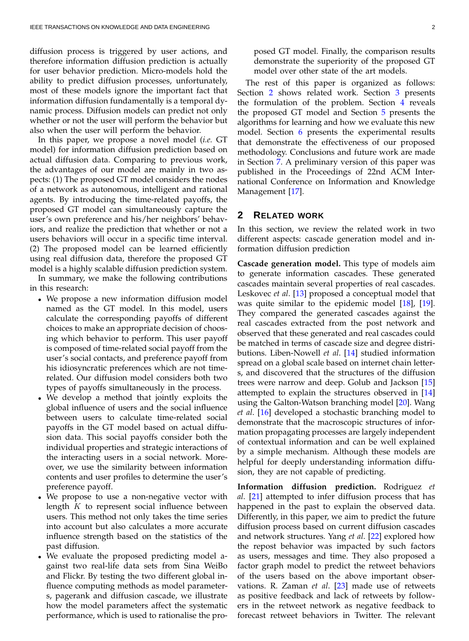<span id="page-2-1"></span>diffusion process is triggered by user actions, and therefore information diffusion prediction is actually for user behavior prediction. Micro-models hold the ability to predict diffusion processes, unfortunately, most of these models ignore the important fact that information diffusion fundamentally is a temporal dynamic process. Diffusion models can predict not only whether or not the user will perform the behavior but also when the user will perform the behavior.

In this paper, we propose a novel model (*i.e.* GT model) for information diffusion prediction based on actual diffusion data. Comparing to previous work, the advantages of our model are mainly in two aspects: (1) The proposed GT model considers the nodes of a network as autonomous, intelligent and rational agents. By introducing the time-related payoffs, the proposed GT model can simultaneously capture the user's own preference and his/her neighbors' behaviors, and realize the prediction that whether or not a users behaviors will occur in a specific time interval. (2) The proposed model can be learned efficiently using real diffusion data, therefore the proposed GT model is a highly scalable diffusion prediction system.

In summary, we make the following contributions in this research:

- We propose a new information diffusion model named as the GT model. In this model, users calculate the corresponding payoffs of different choices to make an appropriate decision of choosing which behavior to perform. This user payoff is composed of time-related social payoff from the user's social contacts, and preference payoff from his idiosyncratic preferences which are not timerelated. Our diffusion model considers both two types of payoffs simultaneously in the process.
- We develop a method that jointly exploits the global influence of users and the social influence between users to calculate time-related social payoffs in the GT model based on actual diffusion data. This social payoffs consider both the individual properties and strategic interactions of the interacting users in a social network. Moreover, we use the similarity between information contents and user profiles to determine the user's preference payoff.
- We propose to use a non-negative vector with length  $K$  to represent social influence between users. This method not only takes the time series into account but also calculates a more accurate influence strength based on the statistics of the past diffusion.
- We evaluate the proposed predicting model against two real-life data sets from Sina WeiBo and Flickr. By testing the two different global influence computing methods as model parameters, pagerank and diffusion cascade, we illustrate how the model parameters affect the systematic performance, which is used to rationalise the pro-

The rest of this paper is organized as follows: Section [2](#page-2-0) shows related work. Section [3](#page-3-0) presents the formulation of the problem. Section  $4$  reveals the proposed GT model and Section [5](#page-7-0) presents the algorithms for learning and how we evaluate this new model. Section [6](#page-10-0) presents the experimental results that demonstrate the effectiveness of our proposed methodology. Conclusions and future work are made in Section [7.](#page-14-16) A preliminary version of this paper was published in the Proceedings of 22nd ACM International Conference on Information and Knowledge Management [\[17\]](#page-14-17).

#### <span id="page-2-0"></span>**2 RELATED WORK**

In this section, we review the related work in two different aspects: cascade generation model and information diffusion prediction

**Cascade generation model.** This type of models aim to generate information cascades. These generated cascades maintain several properties of real cascades. Leskovec *et al*. [\[13\]](#page-14-12) proposed a conceptual model that was quite similar to the epidemic model [\[18\]](#page-14-18), [\[19\]](#page-15-0). They compared the generated cascades against the real cascades extracted from the post network and observed that these generated and real cascades could be matched in terms of cascade size and degree distributions. Liben-Nowell *et al*. [\[14\]](#page-14-13) studied information spread on a global scale based on internet chain letters, and discovered that the structures of the diffusion trees were narrow and deep. Golub and Jackson [\[15\]](#page-14-14) attempted to explain the structures observed in [\[14\]](#page-14-13) using the Galton-Watson branching model [\[20\]](#page-15-1). Wang *et al*. [\[16\]](#page-14-15) developed a stochastic branching model to demonstrate that the macroscopic structures of information propagating processes are largely independent of contextual information and can be well explained by a simple mechanism. Although these models are helpful for deeply understanding information diffusion, they are not capable of predicting.

**Information diffusion prediction.** Rodriguez *et al*. [\[21\]](#page-15-2) attempted to infer diffusion process that has happened in the past to explain the observed data. Differently, in this paper, we aim to predict the future diffusion process based on current diffusion cascades and network structures. Yang *et al*. [\[22\]](#page-15-3) explored how the repost behavior was impacted by such factors as users, messages and time. They also proposed a factor graph model to predict the retweet behaviors of the users based on the above important observations. R. Zaman *et al*. [\[23\]](#page-15-4) made use of retweets as positive feedback and lack of retweets by followers in the retweet network as negative feedback to forecast retweet behaviors in Twitter. The relevant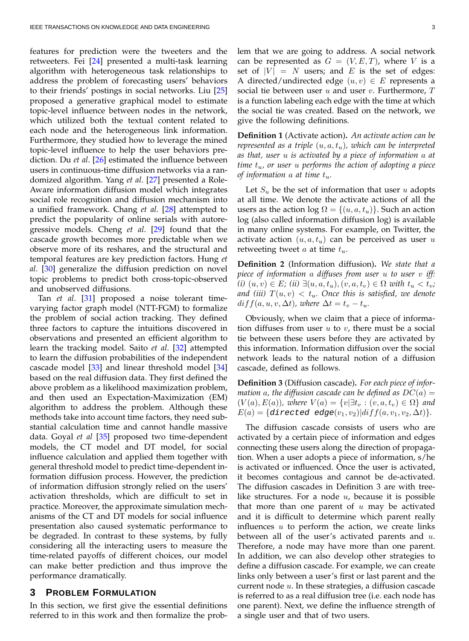<span id="page-3-1"></span>features for prediction were the tweeters and the retweeters. Fei [\[24\]](#page-15-5) presented a multi-task learning algorithm with heterogeneous task relationships to address the problem of forecasting users' behaviors to their friends' postings in social networks. Liu [\[25\]](#page-15-6) proposed a generative graphical model to estimate topic-level influence between nodes in the network, which utilized both the textual content related to each node and the heterogeneous link information. Furthermore, they studied how to leverage the mined topic-level influence to help the user behaviors prediction. Du *et al*. [\[26\]](#page-15-7) estimated the influence between users in continuous-time diffusion networks via a randomized algorithm. Yang *et al*. [\[27\]](#page-15-8) presented a Role-Aware information diffusion model which integrates social role recognition and diffusion mechanism into a unified framework. Chang *et al*. [\[28\]](#page-15-9) attempted to predict the popularity of online serials with autoregressive models. Cheng *et al*. [\[29\]](#page-15-10) found that the cascade growth becomes more predictable when we observe more of its reshares, and the structural and temporal features are key prediction factors. Hung *et al*. [\[30\]](#page-15-11) generalize the diffusion prediction on novel topic problems to predict both cross-topic-observed and unobserved diffusions.

Tan *et al*. [\[31\]](#page-15-12) proposed a noise tolerant timevarying factor graph model (NTT-FGM) to formalize the problem of social action tracking. They defined three factors to capture the intuitions discovered in observations and presented an efficient algorithm to learn the tracking model. Saito *et al*. [\[32\]](#page-15-13) attempted to learn the diffusion probabilities of the independent cascade model [\[33\]](#page-15-14) and linear threshold model [\[34\]](#page-15-15) based on the real diffusion data. They first defined the above problem as a likelihood maximization problem, and then used an Expectation-Maximization (EM) algorithm to address the problem. Although these methods take into account time factors, they need substantial calculation time and cannot handle massive data. Goyal *et al* [\[35\]](#page-15-16) proposed two time-dependent models, the CT model and DT model, for social influence calculation and applied them together with general threshold model to predict time-dependent information diffusion process. However, the prediction of information diffusion strongly relied on the users' activation thresholds, which are difficult to set in practice. Moreover, the approximate simulation mechanisms of the CT and DT models for social influence presentation also caused systematic performance to be degraded. In contrast to these systems, by fully considering all the interacting users to measure the time-related payoffs of different choices, our model can make better prediction and thus improve the performance dramatically.

# <span id="page-3-0"></span>**3 PROBLEM FORMULATION**

In this section, we first give the essential definitions referred to in this work and then formalize the problem that we are going to address. A social network can be represented as  $G = (V, E, T)$ , where V is a set of  $|V| = N$  users; and E is the set of edges: A directed/undirected edge  $(u, v) \in E$  represents a social tie between user  $u$  and user  $v$ . Furthermore,  $T$ is a function labeling each edge with the time at which the social tie was created. Based on the network, we give the following definitions.

**Definition 1** (Activate action)**.** *An activate action can be represented as a triple* (u, a, tu)*, which can be interpreted as that, user* u *is activated by a piece of information* a *at time* tu*, or user* u *performs the action of adopting a piece of information*  $a$  *at time*  $t_u$ .

Let  $S_u$  be the set of information that user u adopts at all time. We denote the activate actions of all the users as the action  $\log \Omega = \{(u, a, t_u)\}\)$ . Such an action log (also called information diffusion log) is available in many online systems. For example, on Twitter, the activate action  $(u, a, t_u)$  can be perceived as user u retweeting tweet  $a$  at time  $t_u$ .

**Definition 2** (Information diffusion)**.** *We state that a piece of information* a *diffuses from user* u *to user* v *iff:*  $(i)$   $(u, v)$  ∈ *E;* (ii) ∃ $(u, a, t_u)$ ,  $(v, a, t_v)$  ∈  $\Omega$  *with*  $t_u < t_v$ *;* and (iii)  $T(u, v) < t_u$ . Once this is satisfied, we denote  $diff(a, u, v, \Delta t)$ *, where*  $\Delta t = t_v - t_u$ *.* 

Obviously, when we claim that a piece of information diffuses from user  $u$  to  $v$ , there must be a social tie between these users before they are activated by this information. Information diffusion over the social network leads to the natural notion of a diffusion cascade, defined as follows.

**Definition 3** (Diffusion cascade)**.** *For each piece of information* a, the diffusion cascade can be defined as  $DC(a) =$  $(V(a), E(a))$ , where  $V(a) = \{v | \exists t_v : (v, a, t_v) \in \Omega \}$  and  $E(a) = {divected \ edge(v_1, v_2)|diff(a, v_1, v_2, \Delta t)}.$ 

The diffusion cascade consists of users who are activated by a certain piece of information and edges connecting these users along the direction of propagation. When a user adopts a piece of information, s/he is activated or influenced. Once the user is activated, it becomes contagious and cannot be de-activated. The diffusion cascades in Definition 3 are with treelike structures. For a node  $u$ , because it is possible that more than one parent of  $u$  may be activated and it is difficult to determine which parent really influences  $u$  to perform the action, we create links between all of the user's activated parents and  $u$ . Therefore, a node may have more than one parent. In addition, we can also develop other strategies to define a diffusion cascade. For example, we can create links only between a user's first or last parent and the current node  $u$ . In these strategies, a diffusion cascade is referred to as a real diffusion tree (i.e. each node has one parent). Next, we define the influence strength of a single user and that of two users.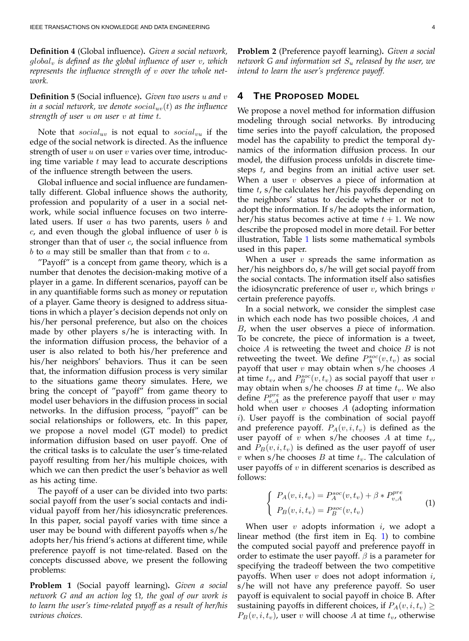**Definition 4** (Global influence)**.** *Given a social network,* global<sup>v</sup> *is defined as the global influence of user* v*, which represents the influence strength of* v *over the whole network.*

**Definition 5** (Social influence)**.** *Given two users* u *and* v *in a social network, we denote social*<sub>uv</sub> $(t)$  *as the influence strength of user* u *on user* v *at time* t*.*

Note that  $social_{uv}$  is not equal to  $social_{vu}$  if the edge of the social network is directed. As the influence strength of user  $u$  on user  $v$  varies over time, introducing time variable  $t$  may lead to accurate descriptions of the influence strength between the users.

Global influence and social influence are fundamentally different. Global influence shows the authority, profession and popularity of a user in a social network, while social influence focuses on two interrelated users. If user  $a$  has two parents, users  $b$  and  $c$ , and even though the global influence of user  $b$  is stronger than that of user  $c$ , the social influence from  $b$  to  $a$  may still be smaller than that from  $c$  to  $a$ .

"Payoff" is a concept from game theory, which is a number that denotes the decision-making motive of a player in a game. In different scenarios, payoff can be in any quantifiable forms such as money or reputation of a player. Game theory is designed to address situations in which a player's decision depends not only on his/her personal preference, but also on the choices made by other players s/he is interacting with. In the information diffusion process, the behavior of a user is also related to both his/her preference and his/her neighbors' behaviors. Thus it can be seen that, the information diffusion process is very similar to the situations game theory simulates. Here, we bring the concept of "payoff" from game theory to model user behaviors in the diffusion process in social networks. In the diffusion process, "payoff" can be social relationships or followers, etc. In this paper, we propose a novel model (GT model) to predict information diffusion based on user payoff. One of the critical tasks is to calculate the user's time-related payoff resulting from her/his multiple choices, with which we can then predict the user's behavior as well as his acting time.

The payoff of a user can be divided into two parts: social payoff from the user's social contacts and individual payoff from her/his idiosyncratic preferences. In this paper, social payoff varies with time since a user may be bound with different payoffs when s/he adopts her/his friend's actions at different time, while preference payoff is not time-related. Based on the concepts discussed above, we present the following problems:

**Problem 1** (Social payoff learning)**.** *Given a social network* G *and an action log* Ω*, the goal of our work is to learn the user's time-related payoff as a result of her/his various choices.*

**Problem 2** (Preference payoff learning)**.** *Given a social network G and information set* S<sup>u</sup> *released by the user, we intend to learn the user's preference payoff.*

# <span id="page-4-0"></span>**4 THE PROPOSED MODEL**

We propose a novel method for information diffusion modeling through social networks. By introducing time series into the payoff calculation, the proposed model has the capability to predict the temporal dynamics of the information diffusion process. In our model, the diffusion process unfolds in discrete timesteps t, and begins from an initial active user set. When a user  $v$  observes a piece of information at time t, s/he calculates her/his payoffs depending on the neighbors' status to decide whether or not to adopt the information. If s/he adopts the information, her/his status becomes active at time  $t + 1$ . We now describe the proposed model in more detail. For better illustration, Table [1](#page-5-0) lists some mathematical symbols used in this paper.

When a user  $v$  spreads the same information as her/his neighbors do, s/he will get social payoff from the social contacts. The information itself also satisfies the idiosyncratic preference of user  $v$ , which brings  $v$ certain preference payoffs.

In a social network, we consider the simplest case in which each node has two possible choices, A and B, when the user observes a piece of information. To be concrete, the piece of information is a tweet, choice  $A$  is retweeting the tweet and choice  $B$  is not retweeting the tweet. We define  $P_A^{soc}(v,t_v)$  as social payoff that user  $v$  may obtain when s/he chooses  $A$ at time  $t_v$ , and  $P_B^{soc}(v,t_v)$  as social payoff that user  $v$ may obtain when s/he chooses  $B$  at time  $t_v$ . We also define  $P_{v,A}^{pre}$  as the preference payoff that user v may hold when user  $v$  chooses  $A$  (adopting information i). User payoff is the combination of social payoff and preference payoff.  $P_A(v, i, t_v)$  is defined as the user payoff of v when s/he chooses A at time  $t_v$ , and  $P_B(v, i, t_v)$  is defined as the user payoff of user *v* when s/he chooses *B* at time  $t_v$ . The calculation of user payoffs of  $v$  in different scenarios is described as follows:

<span id="page-4-1"></span>
$$
\begin{cases}\nP_A(v, i, t_v) = P_A^{soc}(v, t_v) + \beta * P_{v, A}^{pre} \\
P_B(v, i, t_v) = P_B^{soc}(v, t_v)\n\end{cases}
$$
\n(1)

When user  $v$  adopts information  $i$ , we adopt a linear method (the first item in Eq. [1\)](#page-4-1) to combine the computed social payoff and preference payoff in order to estimate the user payoff.  $\beta$  is a parameter for specifying the tradeoff between the two competitive payoffs. When user  $v$  does not adopt information  $i$ , s/he will not have any preference payoff. So user payoff is equivalent to social payoff in choice B. After sustaining payoffs in different choices, if  $P_A(v, i, t_v) \geq$  $P_B(v, i, t_v)$ , user v will choose A at time  $t_v$ , otherwise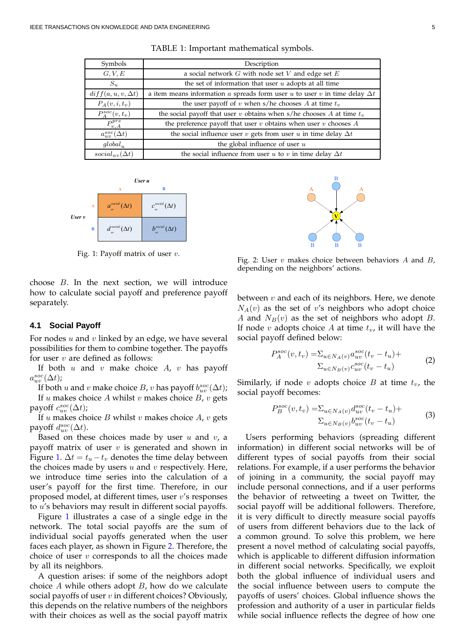<span id="page-5-0"></span>

| Symbols                                                                                                        | Description                                                               |  |
|----------------------------------------------------------------------------------------------------------------|---------------------------------------------------------------------------|--|
| G, V, E                                                                                                        | a social network $G$ with node set $V$ and edge set $E$                   |  |
| the set of information that user $u$ adopts at all time<br>$S_u$                                               |                                                                           |  |
| a item means information a spreads form user u to user v in time delay $\Delta t$<br>$diff(a, u, v, \Delta t)$ |                                                                           |  |
| $P_A(v, i, t_v)$<br>the user payoff of v when s/he chooses A at time $t_v$                                     |                                                                           |  |
| $P_{A}^{soc}(v,t_v)$<br>the social payoff that user v obtains when s/he chooses A at time $t_v$                |                                                                           |  |
| $P_{v,A}^{pre}$<br>the preference payoff that user $v$ obtains when user $v$ chooses $A$                       |                                                                           |  |
| $a_{uv}^{soc}(\Delta t)$                                                                                       | the social influence user $v$ gets from user $u$ in time delay $\Delta t$ |  |
| $global_{u}$                                                                                                   | the global influence of user $u$                                          |  |
| $social_{uv}(\Delta t)$                                                                                        | the social influence from user u to v in time delay $\Delta t$            |  |

TABLE 1: Important mathematical symbols.

<span id="page-5-1"></span>

Fig. 1: Payoff matrix of user  $v$ .

choose B. In the next section, we will introduce how to calculate social payoff and preference payoff separately.

#### **4.1 Social Payoff**

For nodes  $u$  and  $v$  linked by an edge, we have several possibilities for them to combine together. The payoffs for user  $v$  are defined as follows:

If both  $u$  and  $v$  make choice  $A$ ,  $v$  has payoff  $a_{uv}^{soc}(\Delta t)$ ;

If both u and v make choice B, v has payoff  $b_{uv}^{soc}(\Delta t)$ ; If  $u$  makes choice  $A$  whilst  $v$  makes choice  $B$ ,  $v$  gets payoff  $c_{uv}^{soc}(\Delta t)$ ;

If  $u$  makes choice  $B$  whilst  $v$  makes choice  $A$ ,  $v$  gets payoff  $d_{uv}^{soc}(\Delta t)$ .

Based on these choices made by user  $u$  and  $v$ , a payoff matrix of user  $v$  is generated and shown in Figure [1.](#page-5-1)  $\Delta t = t_u - t_v$  denotes the time delay between the choices made by users  $u$  and  $v$  respectively. Here, we introduce time series into the calculation of a user's payoff for the first time. Therefore, in our proposed model, at different times, user v's responses to u's behaviors may result in different social payoffs.

Figure [1](#page-5-1) illustrates a case of a single edge in the network. The total social payoffs are the sum of individual social payoffs generated when the user faces each player, as shown in Figure [2.](#page-5-2) Therefore, the choice of user  $v$  corresponds to all the choices made by all its neighbors.

A question arises: if some of the neighbors adopt choice  $A$  while others adopt  $B$ , how do we calculate social payoffs of user  $v$  in different choices? Obviously, this depends on the relative numbers of the neighbors with their choices as well as the social payoff matrix

<span id="page-5-2"></span>

Fig. 2: User  $v$  makes choice between behaviors  $A$  and  $B$ , depending on the neighbors' actions.

between  $v$  and each of its neighbors. Here, we denote  $N_A(v)$  as the set of v's neighbors who adopt choice A and  $N_B(v)$  as the set of neighbors who adopt B. If node v adopts choice A at time  $t_v$ , it will have the social payoff defined below:

$$
P_{A}^{soc}(v, t_v) = \sum_{u \in N_A(v)} a_{uv}^{soc}(t_v - t_u) +
$$
  
 
$$
\sum_{u \in N_B(v)} c_{uv}^{soc}(t_v - t_u)
$$
 (2)

Similarly, if node v adopts choice  $B$  at time  $t_v$ , the social payoff becomes:

$$
P_B^{soc}(v, t_v) = \sum_{u \in N_A(v)} d_{uv}^{soc}(t_v - t_u) +
$$
  
 
$$
\sum_{u \in N_B(v)} b_{uv}^{soc}(t_v - t_u)
$$
 (3)

Users performing behaviors (spreading different information) in different social networks will be of different types of social payoffs from their social relations. For example, if a user performs the behavior of joining in a community, the social payoff may include personal connections, and if a user performs the behavior of retweeting a tweet on Twitter, the social payoff will be additional followers. Therefore, it is very difficult to directly measure social payoffs of users from different behaviors due to the lack of a common ground. To solve this problem, we here present a novel method of calculating social payoffs, which is applicable to different diffusion information in different social networks. Specifically, we exploit both the global influence of individual users and the social influence between users to compute the payoffs of users' choices. Global influence shows the profession and authority of a user in particular fields while social influence reflects the degree of how one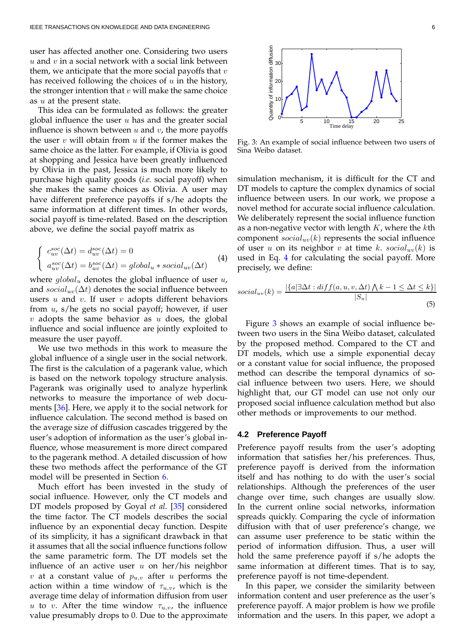<span id="page-6-2"></span>user has affected another one. Considering two users  $u$  and  $v$  in a social network with a social link between them, we anticipate that the more social payoffs that  $v$ has received following the choices of  $u$  in the history, the stronger intention that  $v$  will make the same choice as  $u$  at the present state.

This idea can be formulated as follows: the greater global influence the user  $u$  has and the greater social influence is shown between  $u$  and  $v$ , the more payoffs the user  $v$  will obtain from  $u$  if the former makes the same choice as the latter. For example, if Olivia is good at shopping and Jessica have been greatly influenced by Olivia in the past, Jessica is much more likely to purchase high quality goods (*i.e.* social payoff) when she makes the same choices as Olivia. A user may have different preference payoffs if s/he adopts the same information at different times. In other words, social payoff is time-related. Based on the description above, we define the social payoff matrix as

<span id="page-6-0"></span>
$$
\begin{cases}\nc_{uv}^{soc}(\Delta t) = d_{uv}^{soc}(\Delta t) = 0 \\
a_{uv}^{soc}(\Delta t) = b_{uv}^{soc}(\Delta t) = global_u * social_{uv}(\Delta t)\n\end{cases} (4)
$$

where  $global_u$  denotes the global influence of user u, and  $social_{uv}(\Delta t)$  denotes the social influence between users  $u$  and  $v$ . If user  $v$  adopts different behaviors from u, s/he gets no social payoff; however, if user  $v$  adopts the same behavior as  $u$  does, the global influence and social influence are jointly exploited to measure the user payoff.

We use two methods in this work to measure the global influence of a single user in the social network. The first is the calculation of a pagerank value, which is based on the network topology structure analysis. Pagerank was originally used to analyze hyperlink networks to measure the importance of web documents [\[36\]](#page-15-17). Here, we apply it to the social network for influence calculation. The second method is based on the average size of diffusion cascades triggered by the user's adoption of information as the user's global influence, whose measurement is more direct compared to the pagerank method. A detailed discussion of how these two methods affect the performance of the GT model will be presented in Section [6.](#page-10-0)

Much effort has been invested in the study of social influence. However, only the CT models and DT models proposed by Goyal *et al*. [\[35\]](#page-15-16) considered the time factor. The CT models describes the social influence by an exponential decay function. Despite of its simplicity, it has a significant drawback in that it assumes that all the social influence functions follow the same parametric form. The DT models set the influence of an active user  $u$  on her/his neighbor v at a constant value of  $p_{u,v}$  after u performs the action within a time window of  $\tau_{u,v}$ , which is the average time delay of information diffusion from user u to v. After the time window  $\tau_{u,v}$ , the influence value presumably drops to 0. Due to the approximate

<span id="page-6-1"></span>

Fig. 3: An example of social influence between two users of Sina Weibo dataset.

simulation mechanism, it is difficult for the CT and DT models to capture the complex dynamics of social influence between users. In our work, we propose a novel method for accurate social influence calculation. We deliberately represent the social influence function as a non-negative vector with length  $K$ , where the  $k$ th component  $social_{uv}(k)$  represents the social influence of user u on its neighbor v at time k.  $social_{uv}(k)$  is used in Eq. [4](#page-6-0) for calculating the social payoff. More precisely, we define:

$$
social_{uv}(k) = \frac{|\{a|\exists \Delta t : diff(a, u, v, \Delta t) \wedge k - 1 \le \Delta t \le k\}|}{|S_u|}
$$
\n(5)

Figure [3](#page-6-1) shows an example of social influence between two users in the Sina Weibo dataset, calculated by the proposed method. Compared to the CT and DT models, which use a simple exponential decay or a constant value for social influence, the proposed method can describe the temporal dynamics of social influence between two users. Here, we should highlight that, our GT model can use not only our proposed social influence calculation method but also other methods or improvements to our method.

#### **4.2 Preference Payoff**

Preference payoff results from the user's adopting information that satisfies her/his preferences. Thus, preference payoff is derived from the information itself and has nothing to do with the user's social relationships. Although the preferences of the user change over time, such changes are usually slow. In the current online social networks, information spreads quickly. Comparing the cycle of information diffusion with that of user preference's change, we can assume user preference to be static within the period of information diffusion. Thus, a user will hold the same preference payoff if s/he adopts the same information at different times. That is to say, preference payoff is not time-dependent.

In this paper, we consider the similarity between information content and user preference as the user's preference payoff. A major problem is how we profile information and the users. In this paper, we adopt a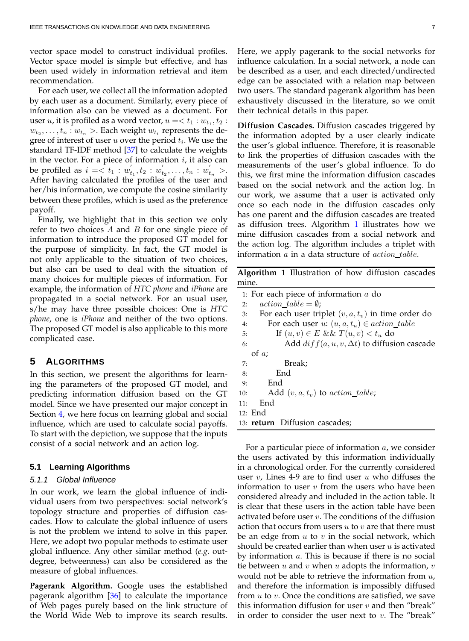<span id="page-7-2"></span>vector space model to construct individual profiles. Vector space model is simple but effective, and has been used widely in information retrieval and item recommendation.

For each user, we collect all the information adopted by each user as a document. Similarly, every piece of information also can be viewed as a document. For user  $u$ , it is profiled as a word vector,  $u = < t_1 : w_{t_1}, t_2$ :  $w_{t_2}, \ldots, t_n : w_{t_n} >$ . Each weight  $w_{t_i}$  represents the degree of interest of user  $u$  over the period  $t_i$ . We use the standard TF-IDF method [\[37\]](#page-15-18) to calculate the weights in the vector. For a piece of information  $i$ , it also can be profiled as  $i = < t_1 : w_t^{'}$  $y'_{t_1}, t_2 : w'_t$  $t_1, \ldots, t_n : w_{t_n}$  >. After having calculated the profiles of the user and her/his information, we compute the cosine similarity between these profiles, which is used as the preference payoff.

Finally, we highlight that in this section we only refer to two choices  $A$  and  $B$  for one single piece of information to introduce the proposed GT model for the purpose of simplicity. In fact, the GT model is not only applicable to the situation of two choices, but also can be used to deal with the situation of many choices for multiple pieces of information. For example, the information of *HTC phone* and *iPhone* are propagated in a social network. For an usual user, s/he may have three possible choices: One is *HTC phone*, one is *iPhone* and neither of the two options. The proposed GT model is also applicable to this more complicated case.

#### <span id="page-7-0"></span>**5 ALGORITHMS**

In this section, we present the algorithms for learning the parameters of the proposed GT model, and predicting information diffusion based on the GT model. Since we have presented our major concept in Section [4,](#page-4-0) we here focus on learning global and social influence, which are used to calculate social payoffs. To start with the depiction, we suppose that the inputs consist of a social network and an action log.

#### **5.1 Learning Algorithms**

#### 5.1.1 Global Influence

In our work, we learn the global influence of individual users from two perspectives: social network's topology structure and properties of diffusion cascades. How to calculate the global influence of users is not the problem we intend to solve in this paper. Here, we adopt two popular methods to estimate user global influence. Any other similar method (*e.g.* outdegree, betweenness) can also be considered as the measure of global influences.

**Pagerank Algorithm.** Google uses the established pagerank algorithm [\[36\]](#page-15-17) to calculate the importance of Web pages purely based on the link structure of the World Wide Web to improve its search results.

Here, we apply pagerank to the social networks for influence calculation. In a social network, a node can be described as a user, and each directed/undirected edge can be associated with a relation map between two users. The standard pagerank algorithm has been exhaustively discussed in the literature, so we omit their technical details in this paper.

**Diffusion Cascades.** Diffusion cascades triggered by the information adopted by a user clearly indicate the user's global influence. Therefore, it is reasonable to link the properties of diffusion cascades with the measurements of the user's global influence. To do this, we first mine the information diffusion cascades based on the social network and the action log. In our work, we assume that a user is activated only once so each node in the diffusion cascades only has one parent and the diffusion cascades are treated as diffusion trees. Algorithm [1](#page-7-1) illustrates how we mine diffusion cascades from a social network and the action log. The algorithm includes a triplet with information  $a$  in a data structure of  $action\_table$ .

<span id="page-7-1"></span>**Algorithm 1** Illustration of how diffusion cascades mine.

|     | 1: For each piece of information $a$ do              |  |  |  |
|-----|------------------------------------------------------|--|--|--|
| 2:  | $action$ $table = \emptyset$ ;                       |  |  |  |
| 3:  | For each user triplet $(v, a, t_v)$ in time order do |  |  |  |
| 4:  | For each user u: $(u, a, t_u) \in action\_table$     |  |  |  |
| 5:  | If $(u, v) \in E$ && $T(u, v) < t_u$ do              |  |  |  |
| 6:  | Add $diff(a, u, v, \Delta t)$ to diffusion cascade   |  |  |  |
|     | of $a$ ;                                             |  |  |  |
| 7:  | Break;                                               |  |  |  |
| 8:  | End                                                  |  |  |  |
| 9:  | End                                                  |  |  |  |
|     | Add $(v, a, t_v)$ to <i>action_table</i> ;<br>10:    |  |  |  |
| 11: | End                                                  |  |  |  |
|     | 12: End                                              |  |  |  |
|     | 13: <b>return</b> Diffusion cascades;                |  |  |  |

For a particular piece of information  $a$ , we consider the users activated by this information individually in a chronological order. For the currently considered user  $v$ , Lines 4-9 are to find user  $u$  who diffuses the information to user  $v$  from the users who have been considered already and included in the action table. It is clear that these users in the action table have been activated before user  $v$ . The conditions of the diffusion action that occurs from users  $u$  to  $v$  are that there must be an edge from  $u$  to  $v$  in the social network, which should be created earlier than when user  $u$  is activated by information a. This is because if there is no social tie between  $u$  and  $v$  when  $u$  adopts the information,  $v$ would not be able to retrieve the information from  $u$ , and therefore the information is impossibly diffused from  $u$  to  $v$ . Once the conditions are satisfied, we save this information diffusion for user  $v$  and then "break" in order to consider the user next to v. The "break"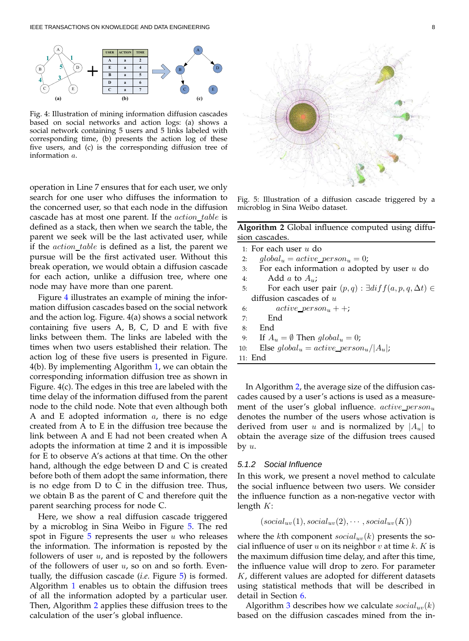<span id="page-8-0"></span>

Fig. 4: Illustration of mining information diffusion cascades based on social networks and action logs: (a) shows a social network containing 5 users and 5 links labeled with corresponding time, (b) presents the action log of these five users, and (c) is the corresponding diffusion tree of information a.

operation in Line 7 ensures that for each user, we only search for one user who diffuses the information to the concerned user, so that each node in the diffusion cascade has at most one parent. If the  $action\_table$  is defined as a stack, then when we search the table, the parent we seek will be the last activated user, while if the  $action\_table$  is defined as a list, the parent we pursue will be the first activated user. Without this break operation, we would obtain a diffusion cascade for each action, unlike a diffusion tree, where one node may have more than one parent.

Figure [4](#page-8-0) illustrates an example of mining the information diffusion cascades based on the social network and the action log. Figure. 4(a) shows a social network containing five users A, B, C, D and E with five links between them. The links are labeled with the times when two users established their relation. The action log of these five users is presented in Figure. 4(b). By implementing Algorithm [1,](#page-7-1) we can obtain the corresponding information diffusion tree as shown in Figure. 4(c). The edges in this tree are labeled with the time delay of the information diffused from the parent node to the child node. Note that even although both A and E adopted information  $a$ , there is no edge created from A to E in the diffusion tree because the link between A and E had not been created when A adopts the information at time 2 and it is impossible for E to observe A's actions at that time. On the other hand, although the edge between D and C is created before both of them adopt the same information, there is no edge from D to C in the diffusion tree. Thus, we obtain B as the parent of C and therefore quit the parent searching process for node C.

Here, we show a real diffusion cascade triggered by a microblog in Sina Weibo in Figure [5.](#page-8-1) The red spot in Figure  $5$  represents the user  $u$  who releases the information. The information is reposted by the followers of user  $u$ , and is reposted by the followers of the followers of user  $u$ , so on and so forth. Eventually, the diffusion cascade (*i.e*. Figure [5\)](#page-8-1) is formed. Algorithm [1](#page-7-1) enables us to obtain the diffusion trees of all the information adopted by a particular user. Then, Algorithm [2](#page-8-2) applies these diffusion trees to the calculation of the user's global influence.

<span id="page-8-1"></span>

<span id="page-8-2"></span>Fig. 5: Illustration of a diffusion cascade triggered by a microblog in Sina Weibo dataset.

**Algorithm 2** Global influence computed using diffusion cascades.

|     | 1: For each user $u$ do                                       |
|-----|---------------------------------------------------------------|
| 2:  | $qlobal_u = active\ person_u = 0;$                            |
| 3:  | For each information $a$ adopted by user $u$ do               |
|     | Add a to $A_{ii}$ :<br>4:                                     |
| 5:  | For each user pair $(p,q) : \exists diff(a,p,q,\Delta t) \in$ |
|     | diffusion cascades of $u$                                     |
| 6:  | $active\_person_u + +;$                                       |
| 7:  | End                                                           |
| 8:  | – End                                                         |
| 9:  | If $A_u = \emptyset$ Then $global_u = 0$ ;                    |
| 10: | Else $global_u = active\_person_u/ A_u $ ;                    |
|     | 11: End                                                       |

In Algorithm [2,](#page-8-2) the average size of the diffusion cascades caused by a user's actions is used as a measurement of the user's global influence.  $active\_person_u$ denotes the number of the users whose activation is derived from user u and is normalized by  $|A_u|$  to obtain the average size of the diffusion trees caused by  $u$ .

#### 5.1.2 Social Influence

In this work, we present a novel method to calculate the social influence between two users. We consider the influence function as a non-negative vector with length K:

$$
(social_{uv}(1), social_{uv}(2), \cdots, social_{uv}(K))
$$

where the kth component  $social_{uv}(k)$  presents the social influence of user  $u$  on its neighbor  $v$  at time  $k$ .  $K$  is the maximum diffusion time delay, and after this time, the influence value will drop to zero. For parameter K, different values are adopted for different datasets using statistical methods that will be described in detail in Section [6.](#page-10-0)

Algorithm [3](#page-9-0) describes how we calculate  $social_{uv}(k)$ based on the diffusion cascades mined from the in-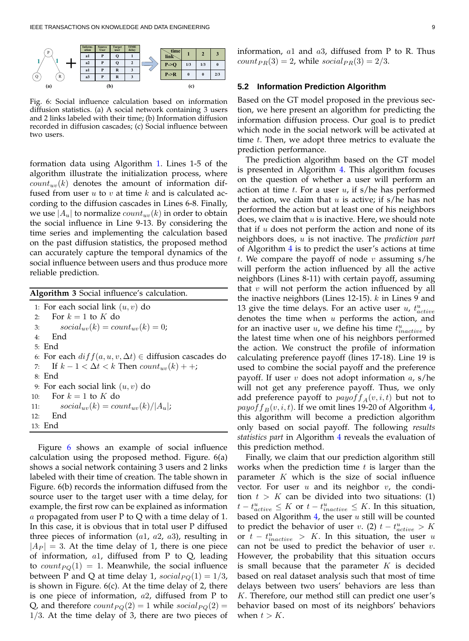<span id="page-9-1"></span>

Fig. 6: Social influence calculation based on information diffusion statistics. (a) A social network containing 3 users and 2 links labeled with their time; (b) Information diffusion recorded in diffusion cascades; (c) Social influence between two users.

formation data using Algorithm [1.](#page-7-1) Lines 1-5 of the algorithm illustrate the initialization process, where  $count_{uv}(k)$  denotes the amount of information diffused from user  $u$  to  $v$  at time  $k$  and is calculated according to the diffusion cascades in Lines 6-8. Finally, we use  $|A_u|$  to normalize  $count_{uv}(k)$  in order to obtain the social influence in Line 9-13. By considering the time series and implementing the calculation based on the past diffusion statistics, the proposed method can accurately capture the temporal dynamics of the social influence between users and thus produce more reliable prediction.

<span id="page-9-0"></span>

1: For each social link  $(u, v)$  do 2: For  $k = 1$  to K do 3:  $\qquad \text{social}_{uv}(k) = \text{count}_{uv}(k) = 0;$ 4: End 5: End 6: For each  $diff(a, u, v, \Delta t) \in$  diffusion cascades do 7: If  $k - 1 < \Delta t < k$  Then  $count_{uv}(k) + +$ ; 8: End 9: For each social link  $(u, v)$  do 10: For  $k = 1$  to K do 11:  $\qquad \text{social}_{uv}(k) = \text{count}_{uv}(k)/|A_u|;$ 12: End 13: End

Figure [6](#page-9-1) shows an example of social influence calculation using the proposed method. Figure. 6(a) shows a social network containing 3 users and 2 links labeled with their time of creation. The table shown in Figure. 6(b) records the information diffused from the source user to the target user with a time delay, for example, the first row can be explained as information a propagated from user P to Q with a time delay of 1. In this case, it is obvious that in total user P diffused three pieces of information  $(a1, a2, a3)$ , resulting in  $|A_P| = 3$ . At the time delay of 1, there is one piece of information,  $a1$ , diffused from P to Q, leading to  $count_{PQ}(1) = 1$ . Meanwhile, the social influence between P and Q at time delay 1,  $social_{PQ}(1) = 1/3$ , is shown in Figure. 6(c). At the time delay of 2, there is one piece of information,  $a2$ , diffused from P to Q, and therefore  $count_{PQ}(2) = 1$  while  $social_{PQ}(2) =$  $1/3$ . At the time delay of 3, there are two pieces of information,  $a1$  and  $a3$ , diffused from P to R. Thus  $count_{PR}(3) = 2$ , while  $social_{PR}(3) = 2/3$ .

#### **5.2 Information Prediction Algorithm**

Based on the GT model proposed in the previous section, we here present an algorithm for predicting the information diffusion process. Our goal is to predict which node in the social network will be activated at time t. Then, we adopt three metrics to evaluate the prediction performance.

The prediction algorithm based on the GT model is presented in Algorithm [4.](#page-10-1) This algorithm focuses on the question of whether a user will perform an action at time  $t$ . For a user  $u$ , if  $s$ /he has performed the action, we claim that  $u$  is active; if  $s/h$ e has not performed the action but at least one of his neighbors does, we claim that  $u$  is inactive. Here, we should note that if  $u$  does not perform the action and none of its neighbors does, u is not inactive. The *prediction part* of Algorithm [4](#page-10-1) is to predict the user's actions at time t. We compare the payoff of node  $v$  assuming  $s$ /he will perform the action influenced by all the active neighbors (Lines 8-11) with certain payoff, assuming that  $v$  will not perform the action influenced by all the inactive neighbors (Lines 12-15).  $k$  in Lines 9 and 13 give the time delays. For an active user  $u$ ,  $t^u_{active}$ denotes the time when  $u$  performs the action, and for an inactive user  $u$ , we define his time  $t_{inactive}^u$  by the latest time when one of his neighbors performed the action. We construct the profile of information calculating preference payoff (lines 17-18). Line 19 is used to combine the social payoff and the preference payoff. If user v does not adopt information  $a$ , s/he will not get any preference payoff. Thus, we only add preference payoff to  $payoff_A(v, i, t)$  but not to  $payoff_B(v, i, t)$ . If we omit lines 19-20 of Algorithm [4,](#page-10-1) this algorithm will become a prediction algorithm only based on social payoff. The following *results statistics part* in Algorithm [4](#page-10-1) reveals the evaluation of this prediction method.

Finally, we claim that our prediction algorithm still works when the prediction time  $t$  is larger than the parameter  $K$  which is the size of social influence vector. For user  $u$  and its neighbor  $v$ , the condition  $t > K$  can be divided into two situations: (1)  $t - t^u_{active} \leq K$  or  $t - t^u_{inactive} \leq K$ . In this situation, based on Algorithm  $4$ , the user  $u$  still will be counted to predict the behavior of user v. (2)  $t - t^u_{active} > K$ or  $t - t_{inactive}^u > K$ . In this situation, the user u can not be used to predict the behavior of user  $v$ . However, the probability that this situation occurs is small because that the parameter  $K$  is decided based on real dataset analysis such that most of time delays between two users' behaviors are less than K. Therefore, our method still can predict one user's behavior based on most of its neighbors' behaviors when  $t > K$ .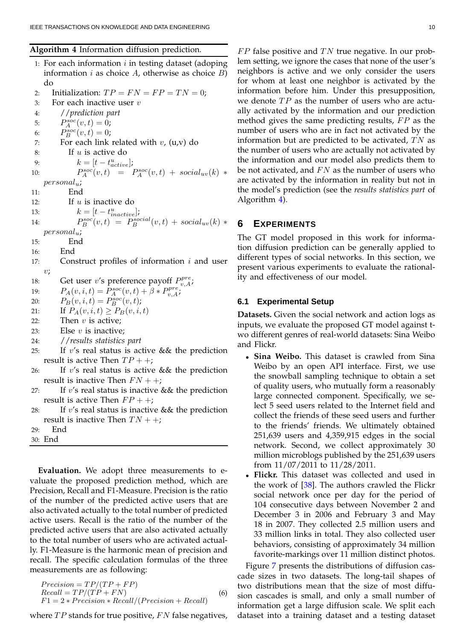#### <span id="page-10-2"></span><span id="page-10-1"></span>**Algorithm 4** Information diffusion prediction.

1: For each information  $i$  in testing dataset (adoping information  $i$  as choice  $A$ , otherwise as choice  $B$ ) do 2: Initialization:  $TP = FN = FP = TN = 0;$ 3: For each inactive user  $v$ 4: //*prediction part* 5:  $P_A^{soc}(v,t) = 0;$ 6:  $P_B^{soc}(v,t) = 0;$ 7: For each link related with  $v$ ,  $(u,v)$  do 8: If u is active do 9:  $k = [t - t_{active}^{u}]$ ; 10:  $P_A^{soc}(v,t) = P_A^{soc}(v,t) + social_{uv}(k) *$  $personal_{u};$ 11: End 12: If  $u$  is inactive do 13:  $k = [t - t_{inactive}^u];$ 14:  $P_B^{soc}(v,t) = P_B^{social}(v,t) + social_{uv}(k) *$  $personal_u;$ 15: End 16: End 17: Construct profiles of information  $i$  and user  $v;$ 18: Get user v's preference payoff  $P_{v,A}^{pre}$ ; 19:  $P_A(v, i, t) = \dot{P}_{A}^{soc}(v, t) + \beta * P_{v, A}^{pre};$ 20:  $P_B(v, i, t) = P_B^{soc}(v, t);$ 21: If  $P_A(v, i, t) \ge P_B(v, i, t)$ 22: Then  $v$  is active; 23: Else  $v$  is inactive; 24: //*results statistics part* 25: If v's real status is active  $&\&\&\&\text{the prediction}$ result is active Then  $TP + +$ ; 26: If v's real status is active  $&\&\&\&\text{the prediction}$ result is inactive Then  $FN + +$ ; 27: If  $v$ 's real status is inactive && the prediction result is active Then  $FP + +;$ 28: If v's real status is inactive  $&\&\&\&\text{the prediction}$ result is inactive Then  $TN + +$ ; 29: End

30: End

**Evaluation.** We adopt three measurements to evaluate the proposed prediction method, which are Precision, Recall and F1-Measure. Precision is the ratio of the number of the predicted active users that are also activated actually to the total number of predicted active users. Recall is the ratio of the number of the predicted active users that are also activated actually to the total number of users who are activated actually. F1-Measure is the harmonic mean of precision and recall. The specific calculation formulas of the three measurements are as following:

$$
Precision = TP/(TP + FP)
$$
  
Recall = TP/(TP + FN)  
F1 = 2 \* Precision \* Recall/(Precision + Recall) (6)

where  $TP$  stands for true positive,  $FN$  false negatives,

 $FP$  false positive and  $TN$  true negative. In our problem setting, we ignore the cases that none of the user's neighbors is active and we only consider the users for whom at least one neighbor is activated by the information before him. Under this presupposition, we denote  $TP$  as the number of users who are actually activated by the information and our prediction method gives the same predicting results,  $FP$  as the number of users who are in fact not activated by the information but are predicted to be activated,  $TN$  as the number of users who are actually not activated by the information and our model also predicts them to be not activated, and  $FN$  as the number of users who are activated by the information in reality but not in the model's prediction (see the *results statistics part* of Algorithm [4\)](#page-10-1).

#### <span id="page-10-0"></span>**6 EXPERIMENTS**

The GT model proposed in this work for information diffusion prediction can be generally applied to different types of social networks. In this section, we present various experiments to evaluate the rationality and effectiveness of our model.

#### **6.1 Experimental Setup**

**Datasets.** Given the social network and action logs as inputs, we evaluate the proposed GT model against two different genres of real-world datasets: Sina Weibo and Flickr.

- **Sina Weibo.** This dataset is crawled from Sina Weibo by an open API interface. First, we use the snowball sampling technique to obtain a set of quality users, who mutually form a reasonably large connected component. Specifically, we select 5 seed users related to the Internet field and collect the friends of these seed users and further to the friends' friends. We ultimately obtained 251,639 users and 4,359,915 edges in the social network. Second, we collect approximately 30 million microblogs published by the 251,639 users from 11/07/2011 to 11/28/2011.
- **Flickr.** This dataset was collected and used in the work of [\[38\]](#page-15-19). The authors crawled the Flickr social network once per day for the period of 104 consecutive days between November 2 and December 3 in 2006 and February 3 and May 18 in 2007. They collected 2.5 million users and 33 million links in total. They also collected user behaviors, consisting of approximately 34 million favorite-markings over 11 million distinct photos.

Figure [7](#page-11-0) presents the distributions of diffusion cascade sizes in two datasets. The long-tail shapes of two distributions mean that the size of most diffusion cascades is small, and only a small number of information get a large diffusion scale. We split each dataset into a training dataset and a testing dataset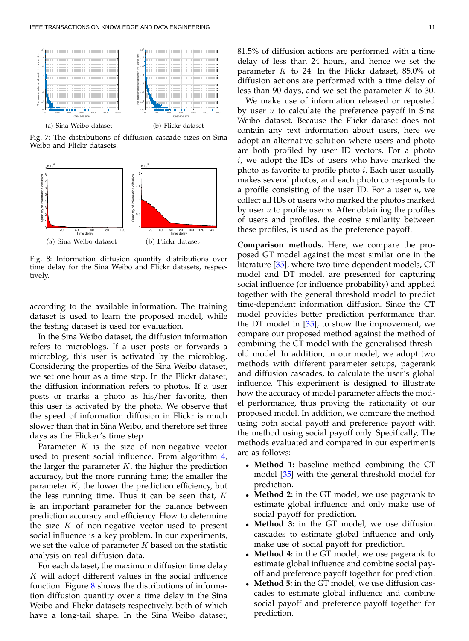<span id="page-11-2"></span><span id="page-11-0"></span>

Fig. 7: The distributions of diffusion cascade sizes on Sina Weibo and Flickr datasets.

<span id="page-11-1"></span>

Fig. 8: Information diffusion quantity distributions over time delay for the Sina Weibo and Flickr datasets, respectively.

according to the available information. The training dataset is used to learn the proposed model, while the testing dataset is used for evaluation.

In the Sina Weibo dataset, the diffusion information refers to microblogs. If a user posts or forwards a microblog, this user is activated by the microblog. Considering the properties of the Sina Weibo dataset, we set one hour as a time step. In the Flickr dataset, the diffusion information refers to photos. If a user posts or marks a photo as his/her favorite, then this user is activated by the photo. We observe that the speed of information diffusion in Flickr is much slower than that in Sina Weibo, and therefore set three days as the Flicker's time step.

Parameter  $K$  is the size of non-negative vector used to present social influence. From algorithm [4,](#page-10-1) the larger the parameter  $K$ , the higher the prediction accuracy, but the more running time; the smaller the parameter  $K$ , the lower the prediction efficiency, but the less running time. Thus it can be seen that,  $K$ is an important parameter for the balance between prediction accuracy and efficiency. How to determine the size  $K$  of non-negative vector used to present social influence is a key problem. In our experiments, we set the value of parameter  $K$  based on the statistic analysis on real diffusion data.

For each dataset, the maximum diffusion time delay  $K$  will adopt different values in the social influence function. Figure [8](#page-11-1) shows the distributions of information diffusion quantity over a time delay in the Sina Weibo and Flickr datasets respectively, both of which have a long-tail shape. In the Sina Weibo dataset, 81.5% of diffusion actions are performed with a time delay of less than 24 hours, and hence we set the parameter  $K$  to 24. In the Flickr dataset, 85.0% of diffusion actions are performed with a time delay of less than 90 days, and we set the parameter  $K$  to 30.

We make use of information released or reposted by user  $u$  to calculate the preference payoff in Sina Weibo dataset. Because the Flickr dataset does not contain any text information about users, here we adopt an alternative solution where users and photo are both profiled by user ID vectors. For a photo  $i$ , we adopt the IDs of users who have marked the photo as favorite to profile photo i. Each user usually makes several photos, and each photo corresponds to a profile consisting of the user ID. For a user  $u$ , we collect all IDs of users who marked the photos marked by user  $u$  to profile user  $u$ . After obtaining the profiles of users and profiles, the cosine similarity between these profiles, is used as the preference payoff.

**Comparison methods.** Here, we compare the proposed GT model against the most similar one in the literature [\[35\]](#page-15-16), where two time-dependent models, CT model and DT model, are presented for capturing social influence (or influence probability) and applied together with the general threshold model to predict time-dependent information diffusion. Since the CT model provides better prediction performance than the DT model in  $[35]$ , to show the improvement, we compare our proposed method against the method of combining the CT model with the generalised threshold model. In addition, in our model, we adopt two methods with different parameter setups, pagerank and diffusion cascades, to calculate the user's global influence. This experiment is designed to illustrate how the accuracy of model parameter affects the model performance, thus proving the rationality of our proposed model. In addition, we compare the method using both social payoff and preference payoff with the method using social payoff only. Specifically, The methods evaluated and compared in our experiments are as follows:

- **Method 1:** baseline method combining the CT model [\[35\]](#page-15-16) with the general threshold model for prediction.
- **Method 2:** in the GT model, we use pagerank to estimate global influence and only make use of social payoff for prediction.
- **Method 3:** in the GT model, we use diffusion cascades to estimate global influence and only make use of social payoff for prediction.
- **Method 4:** in the GT model, we use pagerank to estimate global influence and combine social payoff and preference payoff together for prediction.
- **Method 5:** in the GT model, we use diffusion cascades to estimate global influence and combine social payoff and preference payoff together for prediction.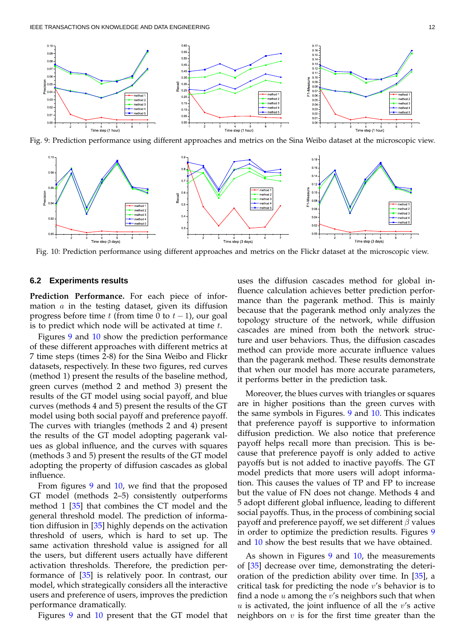<span id="page-12-2"></span><span id="page-12-0"></span>

<span id="page-12-1"></span>Fig. 9: Prediction performance using different approaches and metrics on the Sina Weibo dataset at the microscopic view.



Fig. 10: Prediction performance using different approaches and metrics on the Flickr dataset at the microscopic view.

#### **6.2 Experiments results**

**Prediction Performance.** For each piece of information  $a$  in the testing dataset, given its diffusion progress before time  $t$  (from time 0 to  $t - 1$ ), our goal is to predict which node will be activated at time  $t$ .

Figures [9](#page-12-0) and [10](#page-12-1) show the prediction performance of these different approaches with different metrics at 7 time steps (times 2-8) for the Sina Weibo and Flickr datasets, respectively. In these two figures, red curves (method 1) present the results of the baseline method, green curves (method 2 and method 3) present the results of the GT model using social payoff, and blue curves (methods 4 and 5) present the results of the GT model using both social payoff and preference payoff. The curves with triangles (methods 2 and 4) present the results of the GT model adopting pagerank values as global influence, and the curves with squares (methods 3 and 5) present the results of the GT model adopting the property of diffusion cascades as global influence.

From figures [9](#page-12-0) and [10,](#page-12-1) we find that the proposed GT model (methods 2–5) consistently outperforms method 1 [\[35\]](#page-15-16) that combines the CT model and the general threshold model. The prediction of information diffusion in [\[35\]](#page-15-16) highly depends on the activation threshold of users, which is hard to set up. The same activation threshold value is assigned for all the users, but different users actually have different activation thresholds. Therefore, the prediction performance of [\[35\]](#page-15-16) is relatively poor. In contrast, our model, which strategically considers all the interactive users and preference of users, improves the prediction performance dramatically.

Figures [9](#page-12-0) and [10](#page-12-1) present that the GT model that

uses the diffusion cascades method for global influence calculation achieves better prediction performance than the pagerank method. This is mainly because that the pagerank method only analyzes the topology structure of the network, while diffusion cascades are mined from both the network structure and user behaviors. Thus, the diffusion cascades method can provide more accurate influence values than the pagerank method. These results demonstrate that when our model has more accurate parameters, it performs better in the prediction task.

Moreover, the blues curves with triangles or squares are in higher positions than the green curves with the same symbols in Figures. [9](#page-12-0) and [10.](#page-12-1) This indicates that preference payoff is supportive to information diffusion prediction. We also notice that preference payoff helps recall more than precision. This is because that preference payoff is only added to active payoffs but is not added to inactive payoffs. The GT model predicts that more users will adopt information. This causes the values of TP and FP to increase but the value of FN does not change. Methods 4 and 5 adopt different global influence, leading to different social payoffs. Thus, in the process of combining social payoff and preference payoff, we set different  $\beta$  values in order to optimize the prediction results. Figures [9](#page-12-0) and [10](#page-12-1) show the best results that we have obtained.

As shown in Figures [9](#page-12-0) and [10,](#page-12-1) the measurements of [\[35\]](#page-15-16) decrease over time, demonstrating the deterioration of the prediction ability over time. In [\[35\]](#page-15-16), a critical task for predicting the node  $v$ 's behavior is to find a node  $u$  among the  $v'$ s neighbors such that when  $u$  is activated, the joint influence of all the  $v'$ s active neighbors on  $v$  is for the first time greater than the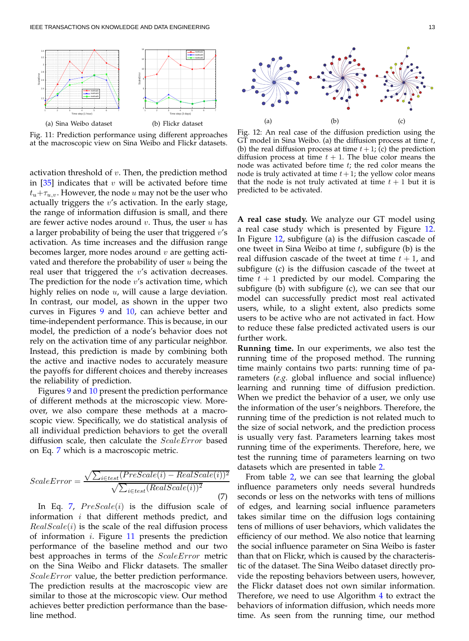<span id="page-13-1"></span>

Fig. 11: Prediction performance using different approaches at the macroscopic view on Sina Weibo and Flickr datasets.

activation threshold of  $v$ . Then, the prediction method in  $[35]$  indicates that v will be activated before time  $t_u+\tau_{u,v}$ . However, the node u may not be the user who actually triggers the  $v$ 's activation. In the early stage, the range of information diffusion is small, and there are fewer active nodes around  $v$ . Thus, the user  $u$  has a larger probability of being the user that triggered  $v's$ activation. As time increases and the diffusion range becomes larger, more nodes around  $v$  are getting activated and therefore the probability of user  $u$  being the real user that triggered the  $v$ 's activation decreases. The prediction for the node  $v$ 's activation time, which highly relies on node  $u$ , will cause a large deviation. In contrast, our model, as shown in the upper two curves in Figures [9](#page-12-0) and [10,](#page-12-1) can achieve better and time-independent performance. This is because, in our model, the prediction of a node's behavior does not rely on the activation time of any particular neighbor. Instead, this prediction is made by combining both the active and inactive nodes to accurately measure the payoffs for different choices and thereby increases the reliability of prediction.

Figures [9](#page-12-0) and [10](#page-12-1) present the prediction performance of different methods at the microscopic view. Moreover, we also compare these methods at a macroscopic view. Specifically, we do statistical analysis of all individual prediction behaviors to get the overall diffusion scale, then calculate the *ScaleError* based on Eq. [7](#page-13-0) which is a macroscopic metric.

<span id="page-13-0"></span>
$$
ScaleError = \frac{\sqrt{\sum_{i \in test}(PreScale(i) - RealScale(i))^{2}}}{\sqrt{\sum_{i \in test}(RealScale(i))^{2}}}
$$
\n(7)

In Eq. [7,](#page-13-0)  $PreScale(i)$  is the diffusion scale of information i that different methods predict, and  $RealScale(i)$  is the scale of the real diffusion process of information  $i$ . Figure [11](#page-13-1) presents the prediction performance of the baseline method and our two best approaches in terms of the ScaleError metric on the Sina Weibo and Flickr datasets. The smaller ScaleError value, the better prediction performance. The prediction results at the macroscopic view are similar to those at the microscopic view. Our method achieves better prediction performance than the baseline method.

<span id="page-13-2"></span>

Fig. 12: An real case of the diffusion prediction using the GT model in Sina Weibo. (a) the diffusion process at time  $t$ , (b) the real diffusion process at time  $t + 1$ ; (c) the prediction diffusion process at time  $t + 1$ . The blue color means the node was activated before time t; the red color means the node is truly activated at time  $t + 1$ ; the yellow color means that the node is not truly activated at time  $t + 1$  but it is predicted to be activated.

**A real case study.** We analyze our GT model using a real case study which is presented by Figure [12.](#page-13-2) In Figure [12,](#page-13-2) subfigure (a) is the diffusion cascade of one tweet in Sina Weibo at time  $t$ , subfigure (b) is the real diffusion cascade of the tweet at time  $t + 1$ , and subfigure (c) is the diffusion cascade of the tweet at time  $t + 1$  predicted by our model. Comparing the subfigure (b) with subfigure (c), we can see that our model can successfully predict most real activated users, while, to a slight extent, also predicts some users to be active who are not activated in fact. How to reduce these false predicted activated users is our further work.

**Running time.** In our experiments, we also test the running time of the proposed method. The running time mainly contains two parts: running time of parameters (*e.g.* global influence and social influence) learning and running time of diffusion prediction. When we predict the behavior of a user, we only use the information of the user's neighbors. Therefore, the running time of the prediction is not related much to the size of social network, and the prediction process is usually very fast. Parameters learning takes most running time of the experiments. Therefore, here, we test the running time of parameters learning on two datasets which are presented in table [2.](#page-14-19)

From table [2,](#page-14-19) we can see that learning the global influence parameters only needs several hundreds seconds or less on the networks with tens of millions of edges, and learning social influence parameters takes similar time on the diffusion logs containing tens of millions of user behaviors, which validates the efficiency of our method. We also notice that learning the social influence parameter on Sina Weibo is faster than that on Flickr, which is caused by the characteristic of the dataset. The Sina Weibo dataset directly provide the reposting behaviors between users, however, the Flickr dataset does not own similar information. Therefore, we need to use Algorithm [4](#page-10-1) to extract the behaviors of information diffusion, which needs more time. As seen from the running time, our method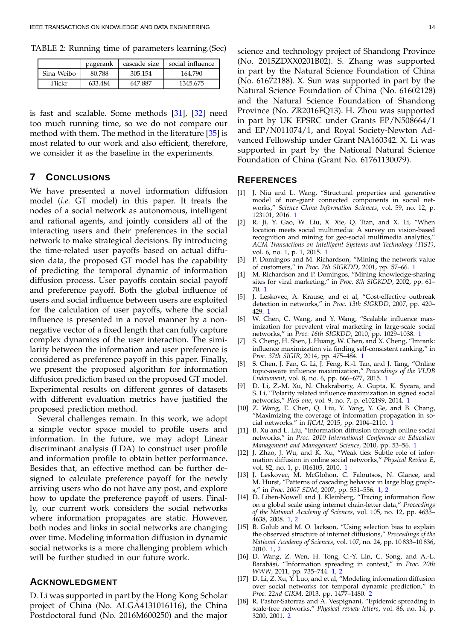<span id="page-14-20"></span><span id="page-14-19"></span>TABLE 2: Running time of parameters learning.(Sec)

|            | pagerank | cascade size | social influence |
|------------|----------|--------------|------------------|
| Sina Weibo | 80.788   | 305.154      | 164.790          |
| Flickr     | 633.484  | 647.887      | 1345.675         |

is fast and scalable. Some methods [\[31\]](#page-15-12), [\[32\]](#page-15-13) need too much running time, so we do not compare our method with them. The method in the literature  $[35]$  is most related to our work and also efficient, therefore, we consider it as the baseline in the experiments.

## <span id="page-14-16"></span>**7 CONCLUSIONS**

We have presented a novel information diffusion model (*i.e.* GT model) in this paper. It treats the nodes of a social network as autonomous, intelligent and rational agents, and jointly considers all of the interacting users and their preferences in the social network to make strategical decisions. By introducing the time-related user payoffs based on actual diffusion data, the proposed GT model has the capability of predicting the temporal dynamic of information diffusion process. User payoffs contain social payoff and preference payoff. Both the global influence of users and social influence between users are exploited for the calculation of user payoffs, where the social influence is presented in a novel manner by a nonnegative vector of a fixed length that can fully capture complex dynamics of the user interaction. The similarity between the information and user preference is considered as preference payoff in this paper. Finally, we present the proposed algorithm for information diffusion prediction based on the proposed GT model. Experimental results on different genres of datasets with different evaluation metrics have justified the proposed prediction method.

Several challenges remain. In this work, we adopt a simple vector space model to profile users and information. In the future, we may adopt Linear discriminant analysis (LDA) to construct user profile and information profile to obtain better performance. Besides that, an effective method can be further designed to calculate preference payoff for the newly arriving users who do not have any post, and explore how to update the preference payoff of users. Finally, our current work considers the social networks where information propagates are static. However, both nodes and links in social networks are changing over time. Modeling information diffusion in dynamic social networks is a more challenging problem which will be further studied in our future work.

# **ACKNOWLEDGMENT**

D. Li was supported in part by the Hong Kong Scholar project of China (No. ALGA4131016116), the China Postdoctoral fund (No. 2016M600250) and the major science and technology project of Shandong Province (No. 2015ZDXX0201B02). S. Zhang was supported in part by the Natural Science Foundation of China (No. 61672188). X. Sun was supported in part by the Natural Science Foundation of China (No. 61602128) and the Natural Science Foundation of Shandong Province (No. ZR2016FQ13). H. Zhou was supported in part by UK EPSRC under Grants EP/N508664/1 and EP/N011074/1, and Royal Society-Newton Advanced Fellowship under Grant NA160342. X. Li was supported in part by the National Natural Science Foundation of China (Grant No. 61761130079).

# <span id="page-14-0"></span>**REFERENCES**

- [1] J. Niu and L. Wang, "Structural properties and generative model of non-giant connected components in social networks," *Science China Information Sciences*, vol. 59, no. 12, p. 123101, 2016. [1](#page-1-0)
- <span id="page-14-1"></span>[2] R. Ji, Y. Gao, W. Liu, X. Xie, Q. Tian, and X. Li, "When location meets social multimedia: A survey on vision-based recognition and mining for geo-social multimedia analytics," *ACM Transactions on Intelligent Systems and Technology (TIST)*, vol. 6, no. 1, p. 1, 2015. [1](#page-1-0)
- <span id="page-14-2"></span>[3] P. Domingos and M. Richardson, "Mining the network value of customers," in *Proc. 7th SIGKDD*, 2001, pp. 57–66. [1](#page-1-0)
- <span id="page-14-3"></span>[4] M. Richardson and P. Domingos, "Mining knowledge-sharing sites for viral marketing," in *Proc. 8th SIGKDD*, 2002, pp. 61– 70. [1](#page-1-0)
- <span id="page-14-4"></span>[5] J. Leskovec, A. Krause, and et al, "Cost-effective outbreak detection in networks," in *Proc. 13th SIGKDD*, 2007, pp. 420– 429. [1](#page-1-0)
- <span id="page-14-5"></span>[6] W. Chen, C. Wang, and Y. Wang, "Scalable influence maximization for prevalent viral marketing in large-scale social networks," in *Proc. 16th SIGKDD*, 2010, pp. 1029–1038. [1](#page-1-0)
- <span id="page-14-6"></span>[7] S. Cheng, H. Shen, J. Huang, W. Chen, and X. Cheng, "Imrank: influence maximization via finding self-consistent ranking," in *Proc. 37th SIGIR*, 2014, pp. 475–484. [1](#page-1-0)
- <span id="page-14-7"></span>[8] S. Chen, J. Fan, G. Li, J. Feng, K.-l. Tan, and J. Tang, "Online topic-aware influence maximization," *Proceedings of the VLDB Endowment*, vol. 8, no. 6, pp. 666–677, 2015. [1](#page-1-0)
- <span id="page-14-8"></span>[9] D. Li, Z.-M. Xu, N. Chakraborty, A. Gupta, K. Sycara, and S. Li, "Polarity related influence maximization in signed social networks," *PloS one*, vol. 9, no. 7, p. e102199, 2014. [1](#page-1-0)
- <span id="page-14-9"></span>[10] Z. Wang, E. Chen, Q. Liu, Y. Yang, Y. Ge, and B. Chang, "Maximizing the coverage of information propagation in social networks." in *IJCAI*, 2015, pp. 2104–2110. [1](#page-1-0)
- <span id="page-14-10"></span>[11] B. Xu and L. Liu, "Information diffusion through online social networks," in *Proc. 2010 International Conference on Education Management and Management Science*, 2010, pp. 53–56. [1](#page-1-0)
- <span id="page-14-11"></span>[12] J. Zhao, J. Wu, and K. Xu, "Weak ties: Subtle role of information diffusion in online social networks," *Physical Review E*, vol. 82, no. 1, p. 016105, 2010. [1](#page-1-0)
- <span id="page-14-12"></span>[13] J. Leskovec, M. McGlohon, C. Faloutsos, N. Glance, and M. Hurst, "Patterns of cascading behavior in large blog graphs," in *Proc. 2007 SDM*, 2007, pp. 551–556. [1,](#page-1-0) [2](#page-2-1)
- <span id="page-14-13"></span>[14] D. Liben-Nowell and J. Kleinberg, "Tracing information flow on a global scale using internet chain-letter data," *Proceedings of the National Academy of Sciences*, vol. 105, no. 12, pp. 4633– 4638, 2008. [1,](#page-1-0) [2](#page-2-1)
- <span id="page-14-14"></span>[15] B. Golub and M. O. Jackson, "Using selection bias to explain the observed structure of internet diffusions," *Proceedings of the National Academy of Sciences*, vol. 107, no. 24, pp. 10 833–10 836, 2010. [1,](#page-1-0) [2](#page-2-1)
- <span id="page-14-15"></span>[16] D. Wang, Z. Wen, H. Tong, C.-Y. Lin, C. Song, and A.-L. Barabási, "Information spreading in context," in *Proc.* 20th *WWW*, 2011, pp. 735–744. [1,](#page-1-0) [2](#page-2-1)
- <span id="page-14-17"></span>[17] D. Li, Z. Xu, Y. Luo, and et al, "Modeling information diffusion over social networks for temporal dynamic prediction," in *Proc. 22nd CIKM*, 2013, pp. 1477–1480. [2](#page-2-1)
- <span id="page-14-18"></span>[18] R. Pastor-Satorras and A. Vespignani, "Epidemic spreading in scale-free networks," *Physical review letters*, vol. 86, no. 14, p. 3200, 2001. [2](#page-2-1)